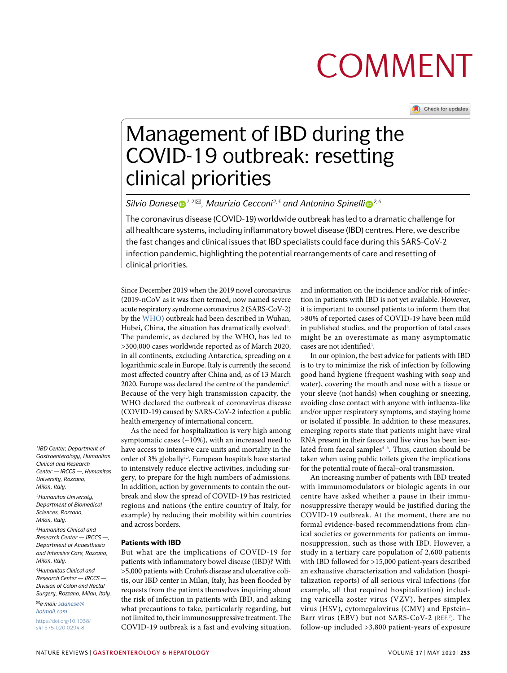# **COMMENT**

Check for updates

## Management of IBD during the COVID-19 outbreak: resetting clinical priorities

*Silvio Danese 1,2* ✉*, Maurizio Cecconi2,3 and Antonino Spinell[i](http://orcid.org/0000-0002-1493-1768) 2,4*

The coronavirus disease (COVID-19) worldwide outbreak has led to a dramatic challenge for all healthcare systems, including inflammatory bowel disease (IBD) centres. Here, we describe the fast changes and clinical issues that IBD specialists could face during this SARS-CoV-2 infection pandemic, highlighting the potential rearrangements of care and resetting of clinical priorities.

Since December 2019 when the 2019 novel coronavirus (2019-nCoV as it was then termed, now named severe acute respiratory syndrome coronavirus 2 (SARS-CoV-2) by the [WHO\)](https://www.who.int/) outbreak had been described in Wuhan, Hubei, China, the situation has dramatically evolved<sup>1</sup>. The pandemic, as declared by the WHO, has led to >300,000 cases worldwide reported as of March 2020, in all continents, excluding Antarctica, spreading on a logarithmic scale in Europe. Italy is currently the second most affected country after China and, as of 13 March 2020, Europe was declared the centre of the pandemic<sup>2</sup>. Because of the very high transmission capacity, the WHO declared the outbreak of coronavirus disease (COVID-19) caused by SARS-CoV-2 infection a public health emergency of international concern.

As the need for hospitalization is very high among symptomatic cases (~10%), with an increased need to have access to intensive care units and mortality in the order of 3% globally<sup>[2](#page-2-1),[3](#page-2-2)</sup>, European hospitals have started to intensively reduce elective activities, including surgery, to prepare for the high numbers of admissions. In addition, action by governments to contain the outbreak and slow the spread of COVID-19 has restricted regions and nations (the entire country of Italy, for example) by reducing their mobility within countries and across borders.

#### Patients with IBD

But what are the implications of COVID-19 for patients with inflammatory bowel disease (IBD)? With >5,000 patients with Crohn's disease and ulcerative colitis, our IBD center in Milan, Italy, has been flooded by requests from the patients themselves inquiring about the risk of infection in patients with IBD, and asking what precautions to take, particularly regarding, but not limited to, their immunosuppressive treatment. The COVID-19 outbreak is a fast and evolving situation, and information on the incidence and/or risk of infection in patients with IBD is not yet available. However, it is important to counsel patients to inform them that >80% of reported cases of COVID-19 have been mild in published studies, and the proportion of fatal cases might be an overestimate as many asymptomatic cases are not identified<sup>[3](#page-2-2)</sup>.

In our opinion, the best advice for patients with IBD is to try to minimize the risk of infection by following good hand hygiene (frequent washing with soap and water), covering the mouth and nose with a tissue or your sleeve (not hands) when coughing or sneezing, avoiding close contact with anyone with influenza-like and/or upper respiratory symptoms, and staying home or isolated if possible. In addition to these measures, emerging reports state that patients might have viral RNA present in their faeces and live virus has been iso-lated from faecal samples<sup>4-[6](#page-2-4)</sup>. Thus, caution should be taken when using public toilets given the implications for the potential route of faecal–oral transmission.

An increasing number of patients with IBD treated with immunomodulators or biologic agents in our centre have asked whether a pause in their immunosuppressive therapy would be justified during the COVID-19 outbreak. At the moment, there are no formal evidence-based recommendations from clinical societies or governments for patients on immunosuppression, such as those with IBD. However, a study in a tertiary care population of 2,600 patients with IBD followed for >15,000 patient-years described an exhaustive characterization and validation (hospitalization reports) of all serious viral infections (for example, all that required hospitalization) including varicella zoster virus (VZV), herpes simplex virus (HSV), cytomegalovirus (CMV) and Epstein– Barr virus (EBV) but not SARS-CoV-2 (REF.<sup>[7](#page-2-5)</sup>). The follow-up included >3,800 patient-years of exposure

*1IBD Center, Department of Gastroenterology, Humanitas Clinical and Research Center — IRCCS —, Humanitas University, Rozzano, Milan, Italy.*

*2Humanitas University, Department of Biomedical Sciences, Rozzano, Milan, Italy.*

*3Humanitas Clinical and Research Center — IRCCS —, Department of Anaesthesia and Intensive Care, Rozzano, Milan, Italy.*

*4Humanitas Clinical and Research Center — IRCCS —, Division of Colon and Rectal Surgery, Rozzano, Milan, Italy.*

✉*e-mail: [sdanese@](mailto:sdanese@
hotmail.com) [hotmail.com](mailto:sdanese@
hotmail.com)* [https://doi.org/10.1038/](https://doi.org/10.1038/s41575-020-0294-8) [s41575-020-0294-8](https://doi.org/10.1038/s41575-020-0294-8)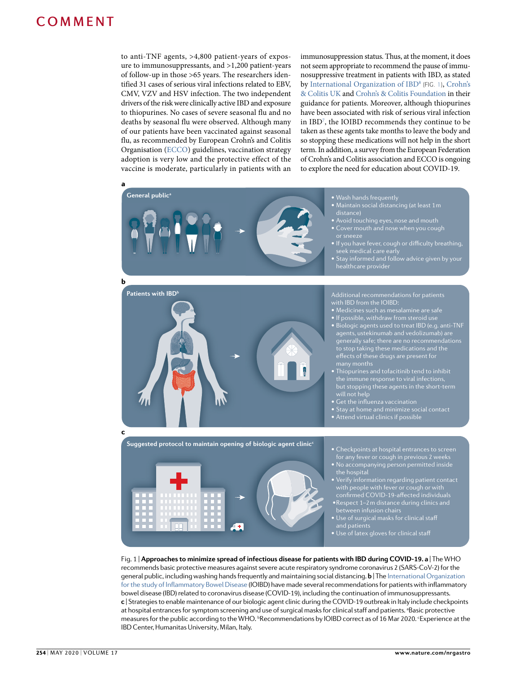### COMMENT

a

c

to anti-TNF agents, >4,800 patient-years of exposure to immunosuppressants, and >1,200 patient-years of follow-up in those >65 years. The researchers identified 31 cases of serious viral infections related to EBV, CMV, VZV and HSV infection. The two independent drivers of the risk were clinically active IBD and exposure to thiopurines. No cases of severe seasonal flu and no deaths by seasonal flu were observed. Although many of our patients have been vaccinated against seasonal flu, as recommended by European Crohn's and Colitis Organisation [\(ECCO\)](https://www.ecco-ibd.eu/) guidelines, vaccination strategy adoption is very low and the protective effect of the vaccine is moderate, particularly in patients with an immunosuppression status. Thus, at the moment, it does not seem appropriate to recommend the pause of immunosuppressive treatment in patients with IBD, as stated by International [Organization](https://www.ioibd.org/) of IBD<sup>8</sup> (FIG. [1](#page-1-0)), [Crohn's](https://www.crohnsandcolitis.org.uk/news/updated-wuhan-novel-coronavirus-advice) & [Colitis](https://www.crohnsandcolitis.org.uk/news/updated-wuhan-novel-coronavirus-advice) UK and Crohn's & Colitis [Foundation](https://www.crohnscolitisfoundation.org/what-ibd-patients-should-know-about-2019-novel-coronavirus-covid-19) in their guidance for patients. Moreover, although thiopurines have been associated with risk of serious viral infection in IBD[7](#page-2-5) , the IOIBD recommends they continue to be taken as these agents take months to leave the body and so stopping these medications will not help in the short term. In addition, a survey from the European Federation of Crohn's and Colitis association and ECCO is ongoing to explore the need for education about COVID-19.



- Medicines such as mesalamine are safe
- 
- Biologic agents used to treat IBD (e.g. anti-TNF agents, ustekinumab and vedolizumab) are generally safe; there are no recommendations to stop taking these medications and the effects of these drugs are present for
- but stopping these agents in the short-term will not help
- withot help<br>• Get the influenza vaccination
- Attend virtual clinics if possible
- **Suggested protocol to maintain opening of biologic agent clinicc**
	- Checkpoints at hospital entrances to screen for any fever or cough in previous 2 weeks
	- No accompanying person permitted inside
	- Verify information regarding patient contact with people with fever or cough or with
	- Respect 1–2m distance during clinics and between infusion chairs
	- Use of surgical masks for clinical staff
	-
	- Use of latex gloves for clinical staff

#### <span id="page-1-0"></span>Fig. 1 | **Approaches to minimize spread of infectious disease for patients with IBD during COVID-19. a** | The WHO

recommends basic protective measures against severe acute respiratory syndrome coronavirus 2 (SARS-CoV-2) for the general public, including washing hands frequently and maintaining social distancing. **b** | The [International](https://www.ioibd.org/) Organization for the study of Inflammatory Bowel Disease (IOIBD) have made several recommendations for patients with inflammatory bowel disease (IBD) related to coronavirus disease (COVID-19), including the continuation of immunosuppressants. **c** | Strategies to enable maintenance of our biologic agent clinic during the COVID-19 outbreak in Italy include checkpoints at hospital entrances for symptom screening and use of surgical masks for clinical staff and patients. <sup>a</sup>Basic protective measures for the public according to the WHO. **PRecommendations by IOIBD** correct as of 16 Mar 2020. Experience at the IBD Center, Humanitas University, Milan, Italy.